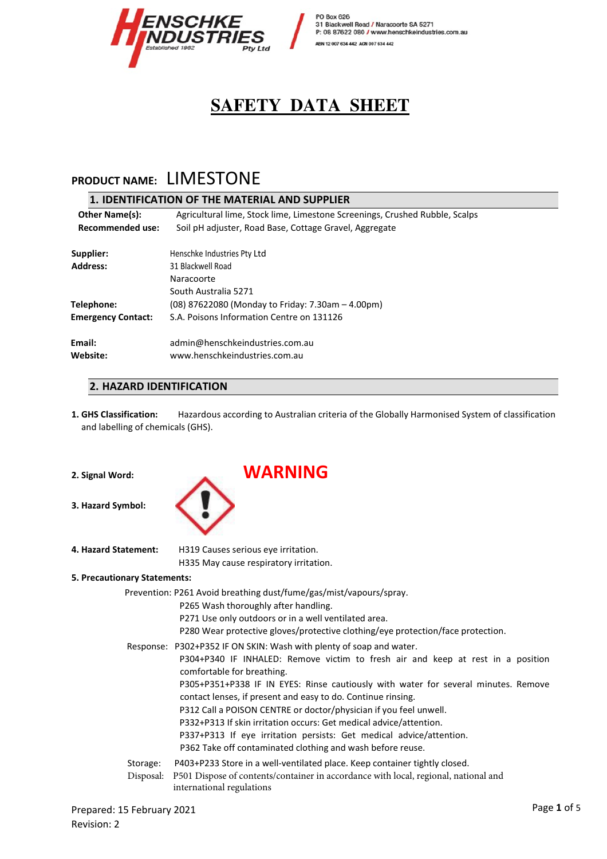

# **PRODUCT NAME:** LIMESTONE

|                                                                            | 1. IDENTIFICATION OF THE MATERIAL AND SUPPLIER                              |  |  |  |
|----------------------------------------------------------------------------|-----------------------------------------------------------------------------|--|--|--|
| <b>Other Name(s):</b>                                                      | Agricultural lime, Stock lime, Limestone Screenings, Crushed Rubble, Scalps |  |  |  |
| Recommended use:<br>Soil pH adjuster, Road Base, Cottage Gravel, Aggregate |                                                                             |  |  |  |
| Supplier:                                                                  | Henschke Industries Pty Ltd                                                 |  |  |  |
| <b>Address:</b>                                                            | 31 Blackwell Road                                                           |  |  |  |
|                                                                            | Naracoorte                                                                  |  |  |  |
|                                                                            | South Australia 5271                                                        |  |  |  |
| Telephone:                                                                 | (08) 87622080 (Monday to Friday: 7.30am – 4.00pm)                           |  |  |  |
| <b>Emergency Contact:</b>                                                  | S.A. Poisons Information Centre on 131126                                   |  |  |  |
| Email:                                                                     | admin@henschkeindustries.com.au                                             |  |  |  |
| Website:                                                                   | www.henschkeindustries.com.au                                               |  |  |  |
|                                                                            |                                                                             |  |  |  |

### **2. HAZARD IDENTIFICATION**

**1. GHS Classification:** Hazardous according to Australian criteria of the Globally Harmonised System of classification and labelling of chemicals (GHS).

|  | 2. Signal Word: |
|--|-----------------|

**3. Hazard Symbol:** 



**4. Hazard Statement:** H319 Causes serious eye irritation. H335 May cause respiratory irritation.

### **5. Precautionary Statements:**

|           | Prevention: P261 Avoid breathing dust/fume/gas/mist/vapours/spray.                                                                                 |
|-----------|----------------------------------------------------------------------------------------------------------------------------------------------------|
|           | P265 Wash thoroughly after handling.                                                                                                               |
|           | P271 Use only outdoors or in a well ventilated area.                                                                                               |
|           | P280 Wear protective gloves/protective clothing/eye protection/face protection.                                                                    |
|           | Response: P302+P352 IF ON SKIN: Wash with plenty of soap and water.                                                                                |
|           | P304+P340 IF INHALED: Remove victim to fresh air and keep at rest in a position<br>comfortable for breathing.                                      |
|           | P305+P351+P338 IF IN EYES: Rinse cautiously with water for several minutes. Remove<br>contact lenses, if present and easy to do. Continue rinsing. |
|           | P312 Call a POISON CENTRE or doctor/physician if you feel unwell.                                                                                  |
|           | P332+P313 If skin irritation occurs: Get medical advice/attention.                                                                                 |
|           | P337+P313 If eye irritation persists: Get medical advice/attention.                                                                                |
|           | P362 Take off contaminated clothing and wash before reuse.                                                                                         |
| Storage:  | P403+P233 Store in a well-ventilated place. Keep container tightly closed.                                                                         |
| Disposal: | P501 Dispose of contents/container in accordance with local, regional, national and<br>international regulations                                   |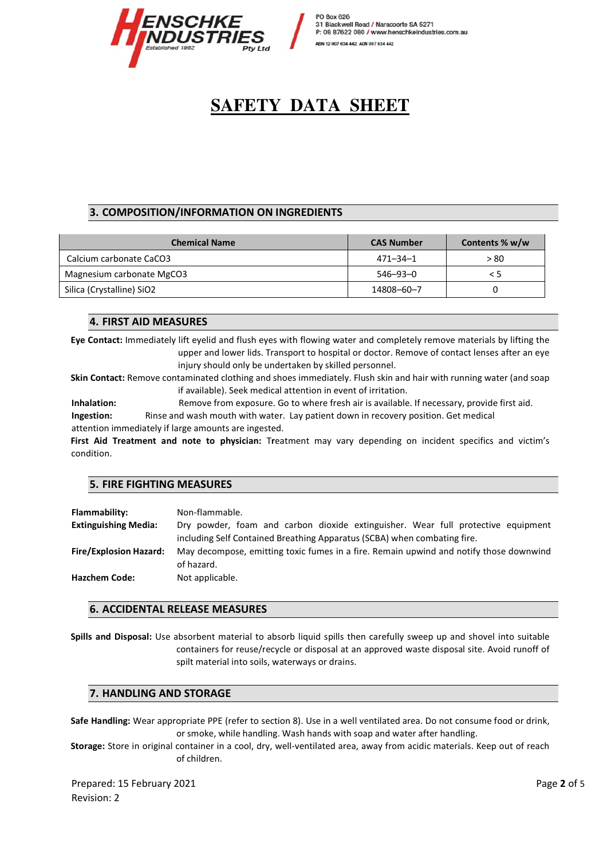

### **3. COMPOSITION/INFORMATION ON INGREDIENTS**

| <b>Chemical Name</b>      | <b>CAS Number</b> | Contents % w/w |  |
|---------------------------|-------------------|----------------|--|
| Calcium carbonate CaCO3   | 471–34–1          | > 80           |  |
| Magnesium carbonate MgCO3 | 546–93–0          | < 5            |  |
| Silica (Crystalline) SiO2 | 14808-60-7        |                |  |

#### **4. FIRST AID MEASURES**

**Eye Contact:** Immediately lift eyelid and flush eyes with flowing water and completely remove materials by lifting the upper and lower lids. Transport to hospital or doctor. Remove of contact lenses after an eye injury should only be undertaken by skilled personnel.

**Skin Contact:** Remove contaminated clothing and shoes immediately. Flush skin and hair with running water (and soap if available). Seek medical attention in event of irritation.

**Inhalation:** Remove from exposure. Go to where fresh air is available. If necessary, provide first aid. **Ingestion:** Rinse and wash mouth with water. Lay patient down in recovery position. Get medical attention immediately if large amounts are ingested.

**First Aid Treatment and note to physician:** T**r**eatment may vary depending on incident specifics and victim's condition.

#### **5. FIRE FIGHTING MEASURES**

| Flammability:                 | Non-flammable.                                                                                                                                               |  |  |  |  |
|-------------------------------|--------------------------------------------------------------------------------------------------------------------------------------------------------------|--|--|--|--|
| <b>Extinguishing Media:</b>   | Dry powder, foam and carbon dioxide extinguisher. Wear full protective equipment<br>including Self Contained Breathing Apparatus (SCBA) when combating fire. |  |  |  |  |
| <b>Fire/Explosion Hazard:</b> | May decompose, emitting toxic fumes in a fire. Remain upwind and notify those downwind<br>of hazard.                                                         |  |  |  |  |
| <b>Hazchem Code:</b>          | Not applicable.                                                                                                                                              |  |  |  |  |

#### **6. ACCIDENTAL RELEASE MEASURES**

**Spills and Disposal:** Use absorbent material to absorb liquid spills then carefully sweep up and shovel into suitable containers for reuse/recycle or disposal at an approved waste disposal site. Avoid runoff of spilt material into soils, waterways or drains.

#### **7. HANDLING AND STORAGE**

**Safe Handling:** Wear appropriate PPE (refer to section 8). Use in a well ventilated area. Do not consume food or drink, or smoke, while handling. Wash hands with soap and water after handling.

**Storage:** Store in original container in a cool, dry, well-ventilated area, away from acidic materials. Keep out of reach of children.

Prepared: 15 February 2021 Page **2** of 5 Revision: 2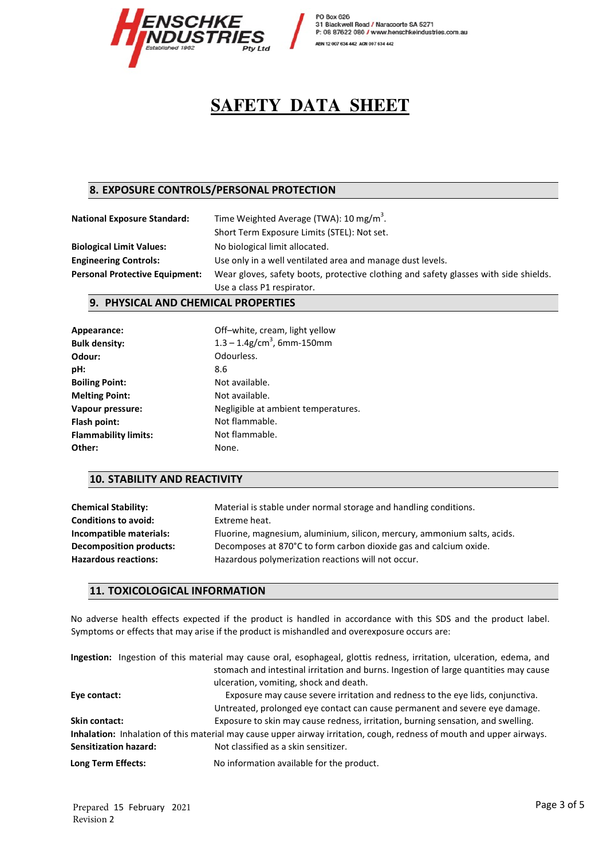

## **8. EXPOSURE CONTROLS/PERSONAL PROTECTION**

| <b>National Exposure Standard:</b>    | Time Weighted Average (TWA): 10 mg/m <sup>3</sup> .                                  |  |
|---------------------------------------|--------------------------------------------------------------------------------------|--|
|                                       | Short Term Exposure Limits (STEL): Not set.                                          |  |
| <b>Biological Limit Values:</b>       | No biological limit allocated.                                                       |  |
| <b>Engineering Controls:</b>          | Use only in a well ventilated area and manage dust levels.                           |  |
| <b>Personal Protective Equipment:</b> | Wear gloves, safety boots, protective clothing and safety glasses with side shields. |  |
|                                       | Use a class P1 respirator.                                                           |  |

#### **9. PHYSICAL AND CHEMICAL PROPERTIES**

| Appearance:                 | Off-white, cream, light yellow            |  |  |
|-----------------------------|-------------------------------------------|--|--|
| <b>Bulk density:</b>        | $1.3 - 1.4$ g/cm <sup>3</sup> , 6mm-150mm |  |  |
| Odour:                      | Odourless.                                |  |  |
| pH:                         | 8.6                                       |  |  |
| <b>Boiling Point:</b>       | Not available.                            |  |  |
| <b>Melting Point:</b>       | Not available.                            |  |  |
| Vapour pressure:            | Negligible at ambient temperatures.       |  |  |
| Flash point:                | Not flammable.                            |  |  |
| <b>Flammability limits:</b> | Not flammable.                            |  |  |
| Other:                      | None.                                     |  |  |

#### **10. STABILITY AND REACTIVITY**

| <b>Chemical Stability:</b>     | Material is stable under normal storage and handling conditions.         |
|--------------------------------|--------------------------------------------------------------------------|
| <b>Conditions to avoid:</b>    | Extreme heat.                                                            |
| Incompatible materials:        | Fluorine, magnesium, aluminium, silicon, mercury, ammonium salts, acids. |
| <b>Decomposition products:</b> | Decomposes at 870°C to form carbon dioxide gas and calcium oxide.        |
| <b>Hazardous reactions:</b>    | Hazardous polymerization reactions will not occur.                       |

#### **11. TOXICOLOGICAL INFORMATION**

No adverse health effects expected if the product is handled in accordance with this SDS and the product label. Symptoms or effects that may arise if the product is mishandled and overexposure occurs are:

|                      |                              | Ingestion: Ingestion of this material may cause oral, esophageal, glottis redness, irritation, ulceration, edema, and                                         |
|----------------------|------------------------------|---------------------------------------------------------------------------------------------------------------------------------------------------------------|
|                      |                              | stomach and intestinal irritation and burns. Ingestion of large quantities may cause<br>ulceration, vomiting, shock and death.                                |
| Eye contact:         |                              | Exposure may cause severe irritation and redness to the eye lids, conjunctiva.<br>Untreated, prolonged eye contact can cause permanent and severe eye damage. |
| <b>Skin contact:</b> |                              | Exposure to skin may cause redness, irritation, burning sensation, and swelling.                                                                              |
|                      |                              | Inhalation: Inhalation of this material may cause upper airway irritation, cough, redness of mouth and upper airways.                                         |
|                      | <b>Sensitization hazard:</b> | Not classified as a skin sensitizer.                                                                                                                          |
| Long Term Effects:   |                              | No information available for the product.                                                                                                                     |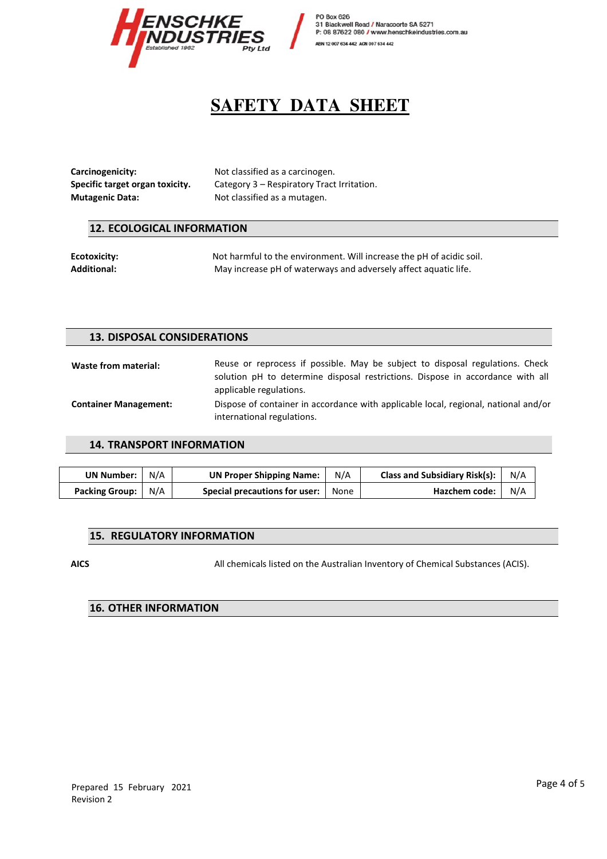

**Carcinogenicity:** Not classified as a carcinogen. **Mutagenic Data: Not classified as a mutagen. Mutagen** 

**Specific target organ toxicity.** Category 3 – Respiratory Tract Irritation.

#### **12. ECOLOGICAL INFORMATION**

**Ecotoxicity:** Not harmful to the environment. Will increase the pH of acidic soil. **Additional:** May increase pH of waterways and adversely affect aquatic life.

#### **13. DISPOSAL CONSIDERATIONS**

Waste from material: **Reuse or reprocess if possible.** May be subject to disposal regulations. Check solution pH to determine disposal restrictions. Dispose in accordance with all applicable regulations. **Container Management:**  Dispose of container in accordance with applicable local, regional, national and/or international regulations.

#### **14. TRANSPORT INFORMATION**

| UN Number:     | N/A | <b>UN Proper Shipping Name:</b> | N/A  | <b>Class and Subsidiary Risk(s):</b> | N/A |
|----------------|-----|---------------------------------|------|--------------------------------------|-----|
| Packing Group: | N/A | Special precautions for user:   | None | Hazchem code:                        | N/A |

#### **15. REGULATORY INFORMATION**

**AICS** All chemicals listed on the Australian Inventory of Chemical Substances (ACIS).

### **16. OTHER INFORMATION**